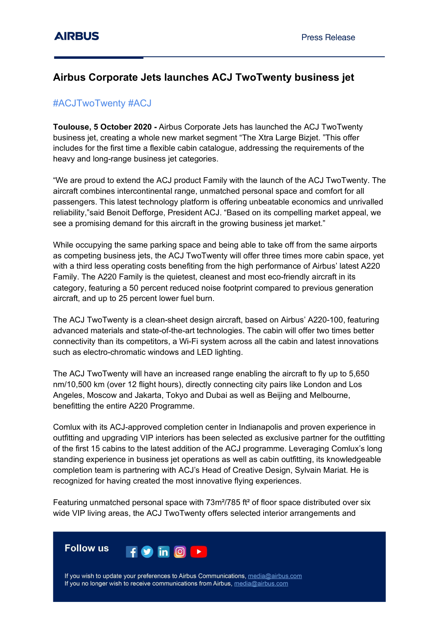# **Airbus Corporate Jets launches ACJ TwoTwenty business jet**

## #ACJTwoTwenty #ACJ

**Toulouse, 5 October 2020 -** Airbus Corporate Jets has launched the ACJ TwoTwenty business jet, creating a whole new market segment "The Xtra Large Bizjet. "This offer includes for the first time a flexible cabin catalogue, addressing the requirements of the heavy and long-range business jet categories.

"We are proud to extend the ACJ product Family with the launch of the ACJ TwoTwenty. The aircraft combines intercontinental range, unmatched personal space and comfort for all passengers. This latest technology platform is offering unbeatable economics and unrivalled reliability,"said Benoit Defforge, President ACJ. "Based on its compelling market appeal, we see a promising demand for this aircraft in the growing business jet market."

While occupying the same parking space and being able to take off from the same airports as competing business jets, the ACJ TwoTwenty will offer three times more cabin space, yet with a third less operating costs benefiting from the high performance of Airbus' latest A220 Family. The A220 Family is the quietest, cleanest and most eco-friendly aircraft in its category, featuring a 50 percent reduced noise footprint compared to previous generation aircraft, and up to 25 percent lower fuel burn.

The ACJ TwoTwenty is a clean-sheet design aircraft, based on Airbus' A220-100, featuring advanced materials and state-of-the-art technologies. The cabin will offer two times better connectivity than its competitors, a Wi-Fi system across all the cabin and latest innovations such as electro-chromatic windows and LED lighting.

The ACJ TwoTwenty will have an increased range enabling the aircraft to fly up to 5,650 nm/10,500 km (over 12 flight hours), directly connecting city pairs like London and Los Angeles, Moscow and Jakarta, Tokyo and Dubai as well as Beijing and Melbourne, benefitting the entire A220 Programme.

Comlux with its ACJ-approved completion center in Indianapolis and proven experience in outfitting and upgrading VIP interiors has been selected as exclusive partner for the outfitting of the first 15 cabins to the latest addition of the ACJ programme. Leveraging Comlux's long standing experience in business jet operations as well as cabin outfitting, its knowledgeable completion team is partnering with ACJ's Head of Creative Design, Sylvain Mariat. He is recognized for having created the most innovative flying experiences.

Featuring unmatched personal space with 73m<sup>2</sup>/785 ft<sup>2</sup> of floor space distributed over six wide VIP living areas, the ACJ TwoTwenty offers selected interior arrangements and



If you wish to update your preferences to Airbus Communications, media@airbus.com If you no longer wish to receive communications from Airbus, media@airbus.com